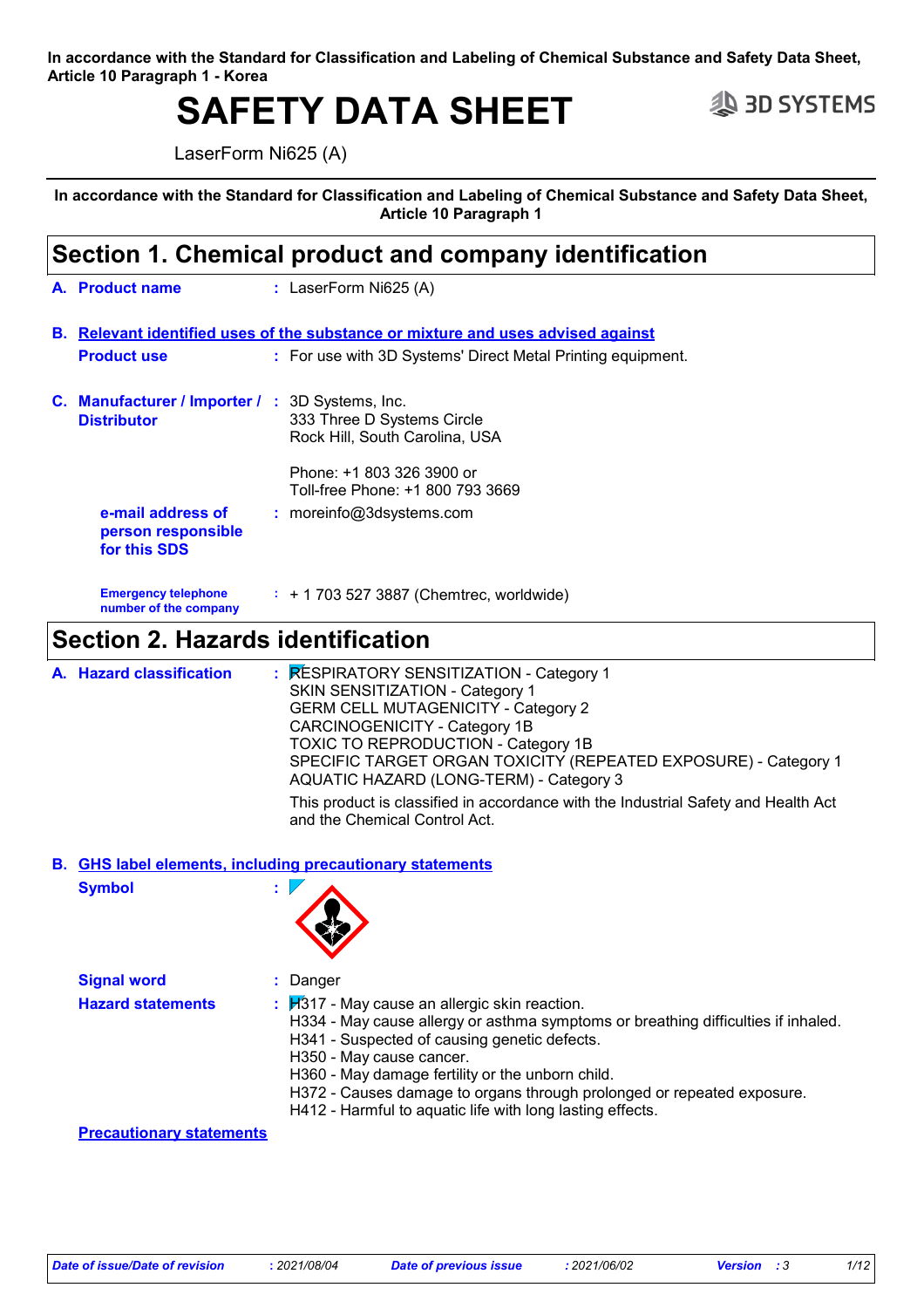**In accordance with the Standard for Classification and Labeling of Chemical Substance and Safety Data Sheet, Article 10 Paragraph 1 - Korea**

# SAFETY DATA SHEET <sup>30 3D SYSTEMS</sup>

LaserForm Ni625 (A)

**In accordance with the Standard for Classification and Labeling of Chemical Substance and Safety Data Sheet, Article 10 Paragraph 1**

### **Section 1. Chemical product and company identification**

- **:** LaserForm Ni625 (A) **Product name A.**
- **Relevant identified uses of the substance or mixture and uses advised against B. C. Manufacturer / Importer / :** 3D Systems, Inc. **Product use <b>:** For use with 3D Systems' Direct Metal Printing equipment. **e-mail address of person responsible for this SDS :** moreinfo@3dsystems.com **Distributor Emergency telephone :** + 1 703 527 3887 (Chemtrec, worldwide) 333 Three D Systems Circle Rock Hill, South Carolina, USA Phone: +1 803 326 3900 or Toll-free Phone: +1 800 793 3669

**number of the company**

## **Section 2. Hazards identification**

| A. Hazard classification | : RESPIRATORY SENSITIZATION - Category 1                                                                            |
|--------------------------|---------------------------------------------------------------------------------------------------------------------|
|                          | <b>SKIN SENSITIZATION - Category 1</b>                                                                              |
|                          | <b>GERM CELL MUTAGENICITY - Category 2</b>                                                                          |
|                          | CARCINOGENICITY - Category 1B                                                                                       |
|                          | <b>TOXIC TO REPRODUCTION - Category 1B</b>                                                                          |
|                          | SPECIFIC TARGET ORGAN TOXICITY (REPEATED EXPOSURE) - Category 1                                                     |
|                          | AQUATIC HAZARD (LONG-TERM) - Category 3                                                                             |
|                          | This product is classified in accordance with the Industrial Safety and Health Act<br>and the Chemical Control Act. |

**GHS label elements, including precautionary statements B.**

#### **Symbol :**



**Signal word :** Danger **Hazard statements** : H317 - May cause an allergic skin reaction. H334 - May cause allergy or asthma symptoms or breathing difficulties if inhaled. H341 - Suspected of causing genetic defects. H350 - May cause cancer. H360 - May damage fertility or the unborn child. H372 - Causes damage to organs through prolonged or repeated exposure. H412 - Harmful to aquatic life with long lasting effects. **Precautionary statements**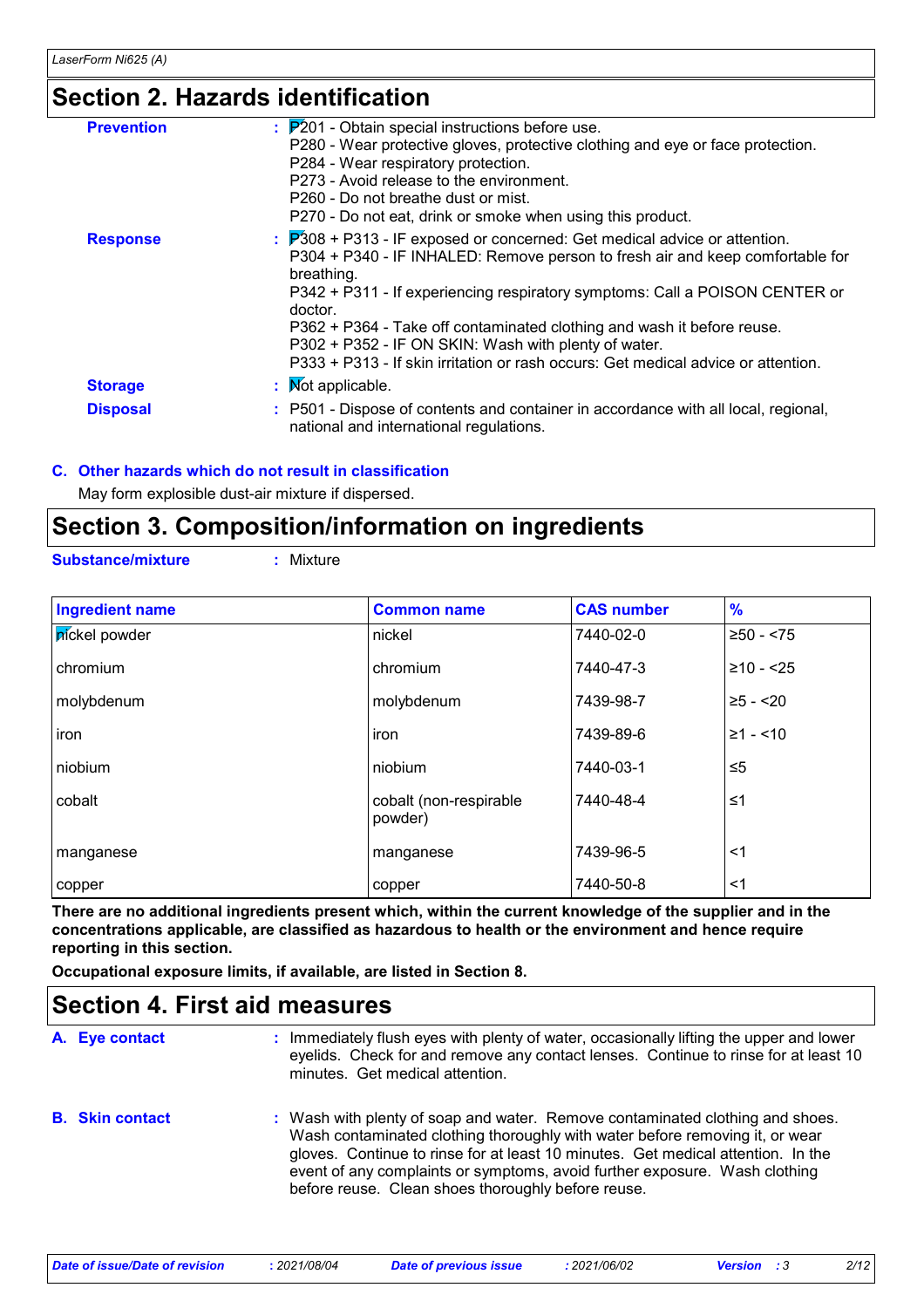## **Section 2. Hazards identification**

| <b>Prevention</b> | : P201 - Obtain special instructions before use.<br>P280 - Wear protective gloves, protective clothing and eye or face protection.<br>P284 - Wear respiratory protection.<br>P273 - Avoid release to the environment.<br>P <sub>260</sub> - Do not breathe dust or mist.<br>P270 - Do not eat, drink or smoke when using this product.                                                                                                                                                                          |
|-------------------|-----------------------------------------------------------------------------------------------------------------------------------------------------------------------------------------------------------------------------------------------------------------------------------------------------------------------------------------------------------------------------------------------------------------------------------------------------------------------------------------------------------------|
| <b>Response</b>   | $\therefore$ $\mathbb{P}308$ + P313 - IF exposed or concerned: Get medical advice or attention.<br>P304 + P340 - IF INHALED: Remove person to fresh air and keep comfortable for<br>breathing.<br>P342 + P311 - If experiencing respiratory symptoms: Call a POISON CENTER or<br>doctor.<br>P362 + P364 - Take off contaminated clothing and wash it before reuse.<br>P302 + P352 - IF ON SKIN: Wash with plenty of water.<br>P333 + P313 - If skin irritation or rash occurs: Get medical advice or attention. |
| <b>Storage</b>    | : Mot applicable.                                                                                                                                                                                                                                                                                                                                                                                                                                                                                               |
| <b>Disposal</b>   | : P501 - Dispose of contents and container in accordance with all local, regional,<br>national and international regulations.                                                                                                                                                                                                                                                                                                                                                                                   |

#### **Other hazards which do not result in classification C.**

May form explosible dust-air mixture if dispersed.

# **Section 3. Composition/information on ingredients**

**Substance/mixture :** Mixture

| <b>Ingredient name</b> | <b>Common name</b>                | <b>CAS number</b> | $\frac{9}{6}$ |
|------------------------|-----------------------------------|-------------------|---------------|
| <i>pickel powder</i>   | nickel                            | 7440-02-0         | $≥50 - < 75$  |
| chromium               | chromium                          | 7440-47-3         | $≥10 - 25$    |
| molybdenum             | molybdenum                        | 7439-98-7         | $\ge 5 - 20$  |
| iron                   | iron                              | 7439-89-6         | $\geq 1 - 10$ |
| niobium                | niobium                           | 7440-03-1         | $\leq 5$      |
| cobalt                 | cobalt (non-respirable<br>powder) | 7440-48-4         | $\leq 1$      |
| manganese              | manganese                         | 7439-96-5         | <1            |
| copper                 | copper                            | 7440-50-8         | <1            |

**There are no additional ingredients present which, within the current knowledge of the supplier and in the concentrations applicable, are classified as hazardous to health or the environment and hence require reporting in this section.**

**Occupational exposure limits, if available, are listed in Section 8.**

### **Section 4. First aid measures**

| A. Eye contact         | : Immediately flush eyes with plenty of water, occasionally lifting the upper and lower<br>eyelids. Check for and remove any contact lenses. Continue to rinse for at least 10<br>minutes. Get medical attention.                                                                                                                                                                     |
|------------------------|---------------------------------------------------------------------------------------------------------------------------------------------------------------------------------------------------------------------------------------------------------------------------------------------------------------------------------------------------------------------------------------|
| <b>B.</b> Skin contact | : Wash with plenty of soap and water. Remove contaminated clothing and shoes.<br>Wash contaminated clothing thoroughly with water before removing it, or wear<br>gloves. Continue to rinse for at least 10 minutes. Get medical attention. In the<br>event of any complaints or symptoms, avoid further exposure. Wash clothing<br>before reuse. Clean shoes thoroughly before reuse. |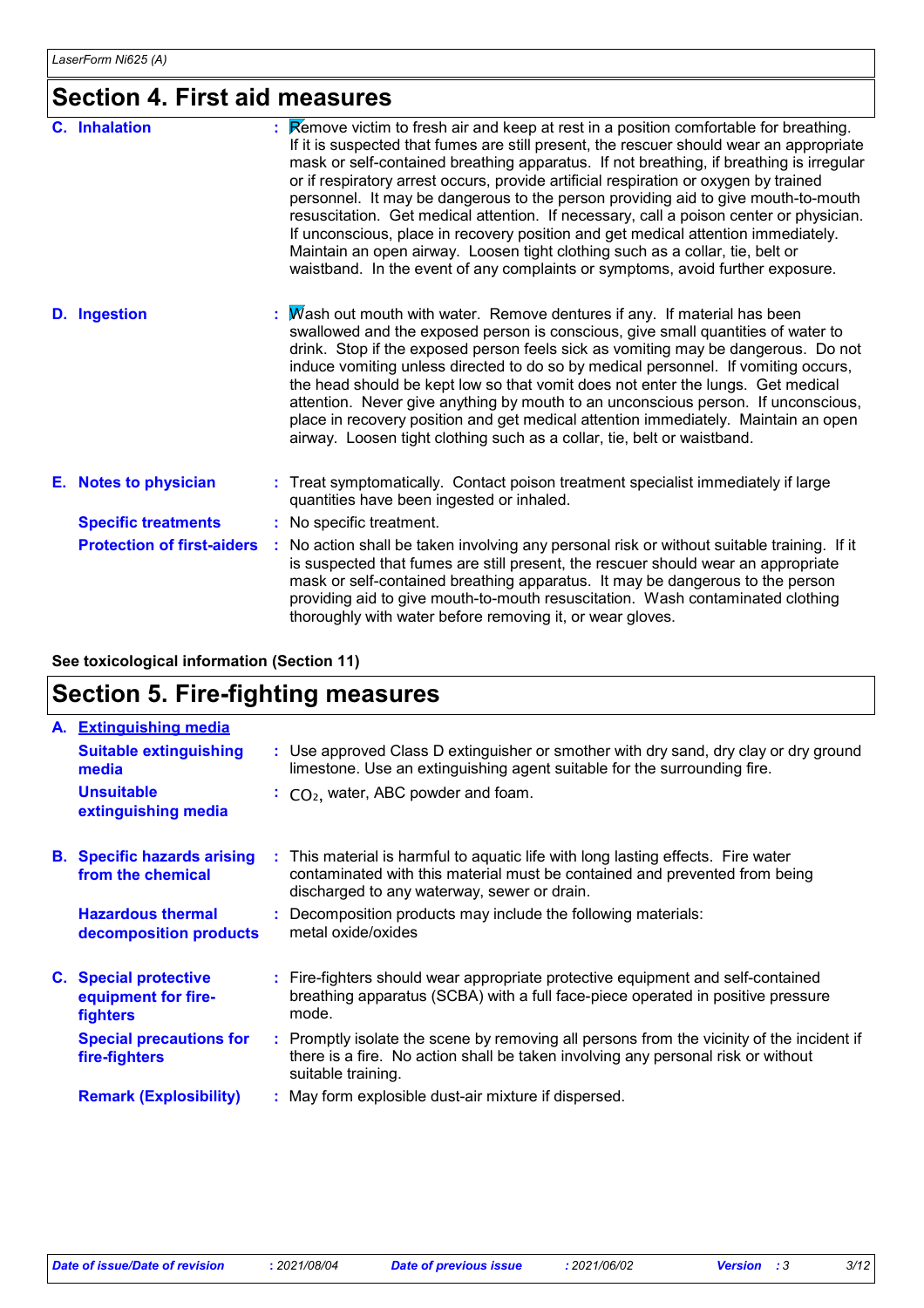### **Section 4. First aid measures**

| <b>C.</b> Inhalation              | <b>Example 3</b> : Remove victim to fresh air and keep at rest in a position comfortable for breathing.<br>If it is suspected that fumes are still present, the rescuer should wear an appropriate<br>mask or self-contained breathing apparatus. If not breathing, if breathing is irregular<br>or if respiratory arrest occurs, provide artificial respiration or oxygen by trained<br>personnel. It may be dangerous to the person providing aid to give mouth-to-mouth<br>resuscitation. Get medical attention. If necessary, call a poison center or physician.<br>If unconscious, place in recovery position and get medical attention immediately.<br>Maintain an open airway. Loosen tight clothing such as a collar, tie, belt or<br>waistband. In the event of any complaints or symptoms, avoid further exposure. |
|-----------------------------------|------------------------------------------------------------------------------------------------------------------------------------------------------------------------------------------------------------------------------------------------------------------------------------------------------------------------------------------------------------------------------------------------------------------------------------------------------------------------------------------------------------------------------------------------------------------------------------------------------------------------------------------------------------------------------------------------------------------------------------------------------------------------------------------------------------------------------|
| <b>D.</b> Ingestion               | : Mash out mouth with water. Remove dentures if any. If material has been<br>swallowed and the exposed person is conscious, give small quantities of water to<br>drink. Stop if the exposed person feels sick as vomiting may be dangerous. Do not<br>induce vomiting unless directed to do so by medical personnel. If vomiting occurs,<br>the head should be kept low so that vomit does not enter the lungs. Get medical<br>attention. Never give anything by mouth to an unconscious person. If unconscious,<br>place in recovery position and get medical attention immediately. Maintain an open<br>airway. Loosen tight clothing such as a collar, tie, belt or waistband.                                                                                                                                            |
| E. Notes to physician             | : Treat symptomatically. Contact poison treatment specialist immediately if large<br>quantities have been ingested or inhaled.                                                                                                                                                                                                                                                                                                                                                                                                                                                                                                                                                                                                                                                                                               |
| <b>Specific treatments</b>        | : No specific treatment.                                                                                                                                                                                                                                                                                                                                                                                                                                                                                                                                                                                                                                                                                                                                                                                                     |
| <b>Protection of first-aiders</b> | : No action shall be taken involving any personal risk or without suitable training. If it<br>is suspected that fumes are still present, the rescuer should wear an appropriate<br>mask or self-contained breathing apparatus. It may be dangerous to the person<br>providing aid to give mouth-to-mouth resuscitation. Wash contaminated clothing<br>thoroughly with water before removing it, or wear gloves.                                                                                                                                                                                                                                                                                                                                                                                                              |

**See toxicological information (Section 11)**

# **Section 5. Fire-fighting measures**

| A. | <b>Extinguishing media</b>                                      |                                                                                                                                                                                                               |
|----|-----------------------------------------------------------------|---------------------------------------------------------------------------------------------------------------------------------------------------------------------------------------------------------------|
|    | <b>Suitable extinguishing</b><br>media                          | : Use approved Class D extinguisher or smother with dry sand, dry clay or dry ground<br>limestone. Use an extinguishing agent suitable for the surrounding fire.                                              |
|    | <b>Unsuitable</b><br>extinguishing media                        | $\therefore$ CO <sub>2</sub> , water, ABC powder and foam.                                                                                                                                                    |
|    | <b>B.</b> Specific hazards arising<br>from the chemical         | : This material is harmful to aquatic life with long lasting effects. Fire water<br>contaminated with this material must be contained and prevented from being<br>discharged to any waterway, sewer or drain. |
|    | <b>Hazardous thermal</b><br>decomposition products              | : Decomposition products may include the following materials:<br>metal oxide/oxides                                                                                                                           |
|    | <b>C.</b> Special protective<br>equipment for fire-<br>fighters | : Fire-fighters should wear appropriate protective equipment and self-contained<br>breathing apparatus (SCBA) with a full face-piece operated in positive pressure<br>mode.                                   |
|    | <b>Special precautions for</b><br>fire-fighters                 | : Promptly isolate the scene by removing all persons from the vicinity of the incident if<br>there is a fire. No action shall be taken involving any personal risk or without<br>suitable training.           |
|    | <b>Remark (Explosibility)</b>                                   | : May form explosible dust-air mixture if dispersed.                                                                                                                                                          |
|    |                                                                 |                                                                                                                                                                                                               |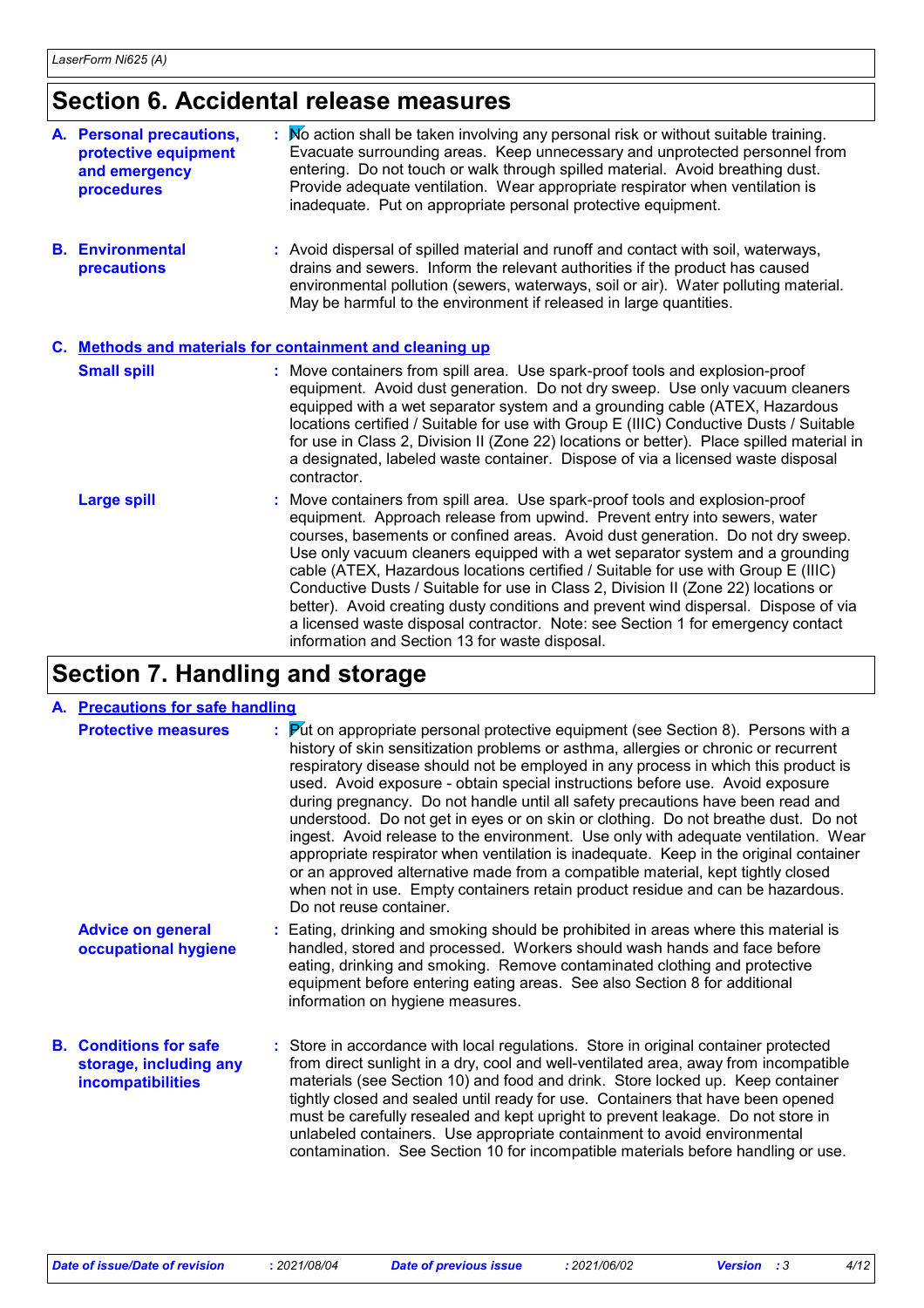# **Section 6. Accidental release measures**

|    | A. Personal precautions,<br>protective equipment<br>and emergency<br>procedures | No action shall be taken involving any personal risk or without suitable training.<br>Evacuate surrounding areas. Keep unnecessary and unprotected personnel from<br>entering. Do not touch or walk through spilled material. Avoid breathing dust.<br>Provide adequate ventilation. Wear appropriate respirator when ventilation is<br>inadequate. Put on appropriate personal protective equipment.                                                                                                                                                                                                                                                                                                                               |
|----|---------------------------------------------------------------------------------|-------------------------------------------------------------------------------------------------------------------------------------------------------------------------------------------------------------------------------------------------------------------------------------------------------------------------------------------------------------------------------------------------------------------------------------------------------------------------------------------------------------------------------------------------------------------------------------------------------------------------------------------------------------------------------------------------------------------------------------|
|    | <b>B.</b> Environmental<br>precautions                                          | : Avoid dispersal of spilled material and runoff and contact with soil, waterways,<br>drains and sewers. Inform the relevant authorities if the product has caused<br>environmental pollution (sewers, waterways, soil or air). Water polluting material.<br>May be harmful to the environment if released in large quantities.                                                                                                                                                                                                                                                                                                                                                                                                     |
| C. |                                                                                 | <b>Methods and materials for containment and cleaning up</b>                                                                                                                                                                                                                                                                                                                                                                                                                                                                                                                                                                                                                                                                        |
|    | <b>Small spill</b>                                                              | : Move containers from spill area. Use spark-proof tools and explosion-proof<br>equipment. Avoid dust generation. Do not dry sweep. Use only vacuum cleaners<br>equipped with a wet separator system and a grounding cable (ATEX, Hazardous<br>locations certified / Suitable for use with Group E (IIIC) Conductive Dusts / Suitable<br>for use in Class 2, Division II (Zone 22) locations or better). Place spilled material in<br>a designated, labeled waste container. Dispose of via a licensed waste disposal<br>contractor.                                                                                                                                                                                                |
|    | <b>Large spill</b>                                                              | : Move containers from spill area. Use spark-proof tools and explosion-proof<br>equipment. Approach release from upwind. Prevent entry into sewers, water<br>courses, basements or confined areas. Avoid dust generation. Do not dry sweep.<br>Use only vacuum cleaners equipped with a wet separator system and a grounding<br>cable (ATEX, Hazardous locations certified / Suitable for use with Group E (IIIC)<br>Conductive Dusts / Suitable for use in Class 2, Division II (Zone 22) locations or<br>better). Avoid creating dusty conditions and prevent wind dispersal. Dispose of via<br>a licensed waste disposal contractor. Note: see Section 1 for emergency contact<br>information and Section 13 for waste disposal. |

# **Section 7. Handling and storage**

# **A. Precautions for safe handling**

| <b>Protective measures</b>                                                   | $\mathbf F$ Put on appropriate personal protective equipment (see Section 8). Persons with a<br>history of skin sensitization problems or asthma, allergies or chronic or recurrent<br>respiratory disease should not be employed in any process in which this product is<br>used. Avoid exposure - obtain special instructions before use. Avoid exposure<br>during pregnancy. Do not handle until all safety precautions have been read and<br>understood. Do not get in eyes or on skin or clothing. Do not breathe dust. Do not<br>ingest. Avoid release to the environment. Use only with adequate ventilation. Wear<br>appropriate respirator when ventilation is inadequate. Keep in the original container<br>or an approved alternative made from a compatible material, kept tightly closed<br>when not in use. Empty containers retain product residue and can be hazardous.<br>Do not reuse container. |
|------------------------------------------------------------------------------|--------------------------------------------------------------------------------------------------------------------------------------------------------------------------------------------------------------------------------------------------------------------------------------------------------------------------------------------------------------------------------------------------------------------------------------------------------------------------------------------------------------------------------------------------------------------------------------------------------------------------------------------------------------------------------------------------------------------------------------------------------------------------------------------------------------------------------------------------------------------------------------------------------------------|
| <b>Advice on general</b><br>occupational hygiene                             | : Eating, drinking and smoking should be prohibited in areas where this material is<br>handled, stored and processed. Workers should wash hands and face before<br>eating, drinking and smoking. Remove contaminated clothing and protective<br>equipment before entering eating areas. See also Section 8 for additional<br>information on hygiene measures.                                                                                                                                                                                                                                                                                                                                                                                                                                                                                                                                                      |
| <b>B.</b> Conditions for safe<br>storage, including any<br>incompatibilities | : Store in accordance with local regulations. Store in original container protected<br>from direct sunlight in a dry, cool and well-ventilated area, away from incompatible<br>materials (see Section 10) and food and drink. Store locked up. Keep container<br>tightly closed and sealed until ready for use. Containers that have been opened<br>must be carefully resealed and kept upright to prevent leakage. Do not store in<br>unlabeled containers. Use appropriate containment to avoid environmental<br>contamination. See Section 10 for incompatible materials before handling or use.                                                                                                                                                                                                                                                                                                                |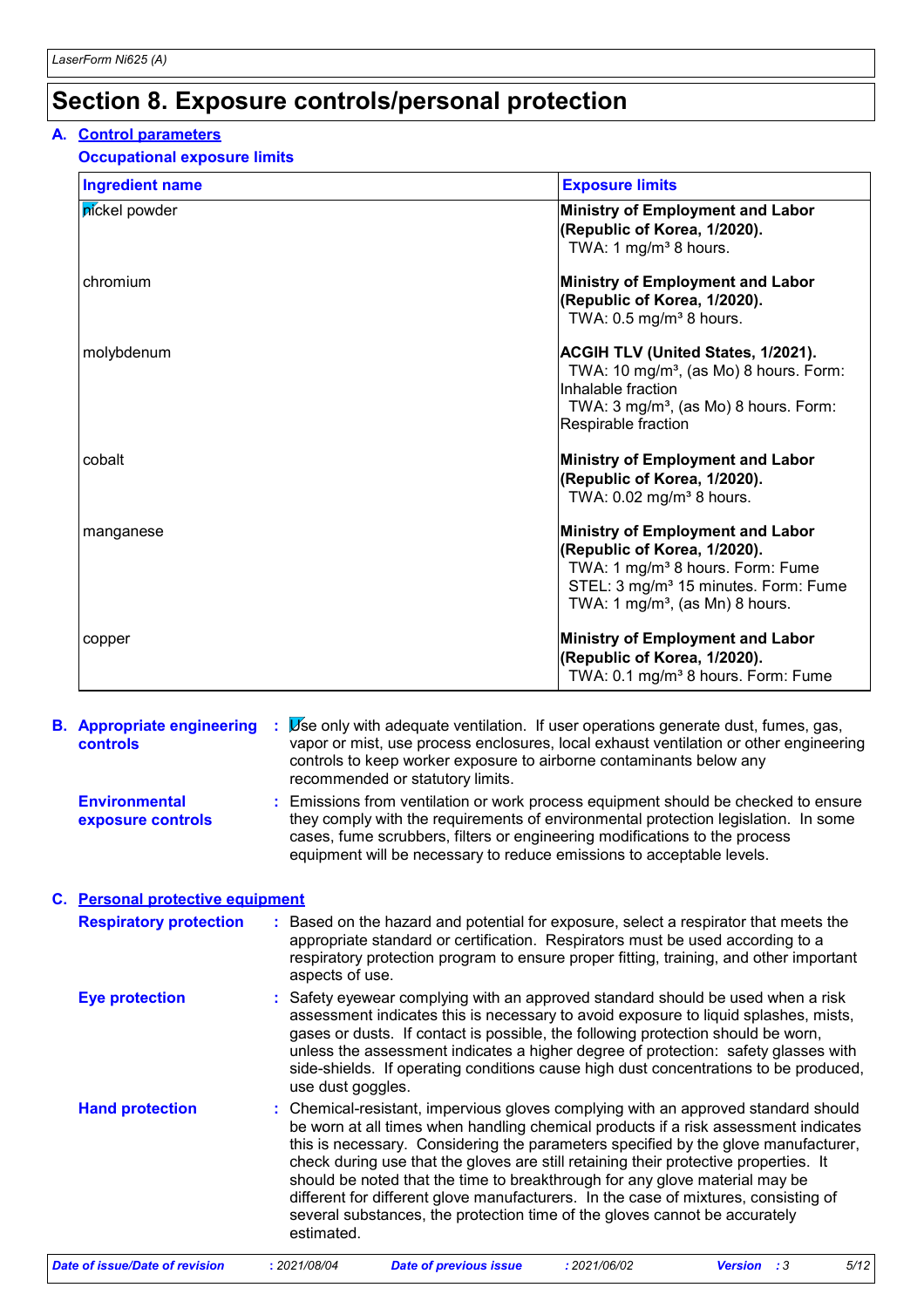# **Section 8. Exposure controls/personal protection**

### **A. Control parameters**

#### **Occupational exposure limits**

| <b>Ingredient name</b> | <b>Exposure limits</b>                                                                                                                                                                                              |
|------------------------|---------------------------------------------------------------------------------------------------------------------------------------------------------------------------------------------------------------------|
| <i>pickel</i> powder   | <b>Ministry of Employment and Labor</b><br>(Republic of Korea, 1/2020).<br>TWA: 1 mg/m <sup>3</sup> 8 hours.                                                                                                        |
| chromium               | Ministry of Employment and Labor<br>(Republic of Korea, 1/2020).<br>TWA: $0.5$ mg/m <sup>3</sup> 8 hours.                                                                                                           |
| molybdenum             | <b>ACGIH TLV (United States, 1/2021).</b><br>TWA: 10 mg/m <sup>3</sup> , (as Mo) 8 hours. Form:<br>Inhalable fraction<br>TWA: 3 mg/m <sup>3</sup> , (as Mo) 8 hours. Form:<br>Respirable fraction                   |
| cobalt                 | Ministry of Employment and Labor<br>(Republic of Korea, 1/2020).<br>TWA: 0.02 mg/m <sup>3</sup> 8 hours.                                                                                                            |
| manganese              | Ministry of Employment and Labor<br>(Republic of Korea, 1/2020).<br>TWA: 1 mg/m <sup>3</sup> 8 hours. Form: Fume<br>STEL: 3 mg/m <sup>3</sup> 15 minutes. Form: Fume<br>TWA: 1 mg/m <sup>3</sup> , (as Mn) 8 hours. |
| copper                 | Ministry of Employment and Labor<br>(Republic of Korea, 1/2020).<br>TWA: 0.1 mg/m <sup>3</sup> 8 hours. Form: Fume                                                                                                  |

| <b>B.</b> Appropriate engineering<br><b>controls</b> | Use only with adequate ventilation. If user operations generate dust, fumes, gas,<br>vapor or mist, use process enclosures, local exhaust ventilation or other engineering<br>controls to keep worker exposure to airborne contaminants below any<br>recommended or statutory limits.                                                                                                                                                                                                                                                                                                                                     |
|------------------------------------------------------|---------------------------------------------------------------------------------------------------------------------------------------------------------------------------------------------------------------------------------------------------------------------------------------------------------------------------------------------------------------------------------------------------------------------------------------------------------------------------------------------------------------------------------------------------------------------------------------------------------------------------|
| <b>Environmental</b><br>exposure controls            | : Emissions from ventilation or work process equipment should be checked to ensure<br>they comply with the requirements of environmental protection legislation. In some<br>cases, fume scrubbers, filters or engineering modifications to the process<br>equipment will be necessary to reduce emissions to acceptable levels.                                                                                                                                                                                                                                                                                           |
| C. Personal protective equipment                     |                                                                                                                                                                                                                                                                                                                                                                                                                                                                                                                                                                                                                           |
| <b>Respiratory protection</b>                        | : Based on the hazard and potential for exposure, select a respirator that meets the<br>appropriate standard or certification. Respirators must be used according to a<br>respiratory protection program to ensure proper fitting, training, and other important<br>aspects of use.                                                                                                                                                                                                                                                                                                                                       |
| <b>Eye protection</b>                                | : Safety eyewear complying with an approved standard should be used when a risk<br>assessment indicates this is necessary to avoid exposure to liquid splashes, mists,<br>gases or dusts. If contact is possible, the following protection should be worn,<br>unless the assessment indicates a higher degree of protection: safety glasses with<br>side-shields. If operating conditions cause high dust concentrations to be produced,<br>use dust goggles.                                                                                                                                                             |
| <b>Hand protection</b>                               | : Chemical-resistant, impervious gloves complying with an approved standard should<br>be worn at all times when handling chemical products if a risk assessment indicates<br>this is necessary. Considering the parameters specified by the glove manufacturer,<br>check during use that the gloves are still retaining their protective properties. It<br>should be noted that the time to breakthrough for any glove material may be<br>different for different glove manufacturers. In the case of mixtures, consisting of<br>several substances, the protection time of the gloves cannot be accurately<br>estimated. |

| Date of issue/Date of revision | 2021/08/04 | Date of previous issue | 2021/06/02 | <b>Version</b> | 5/12 |
|--------------------------------|------------|------------------------|------------|----------------|------|
|                                |            |                        |            |                |      |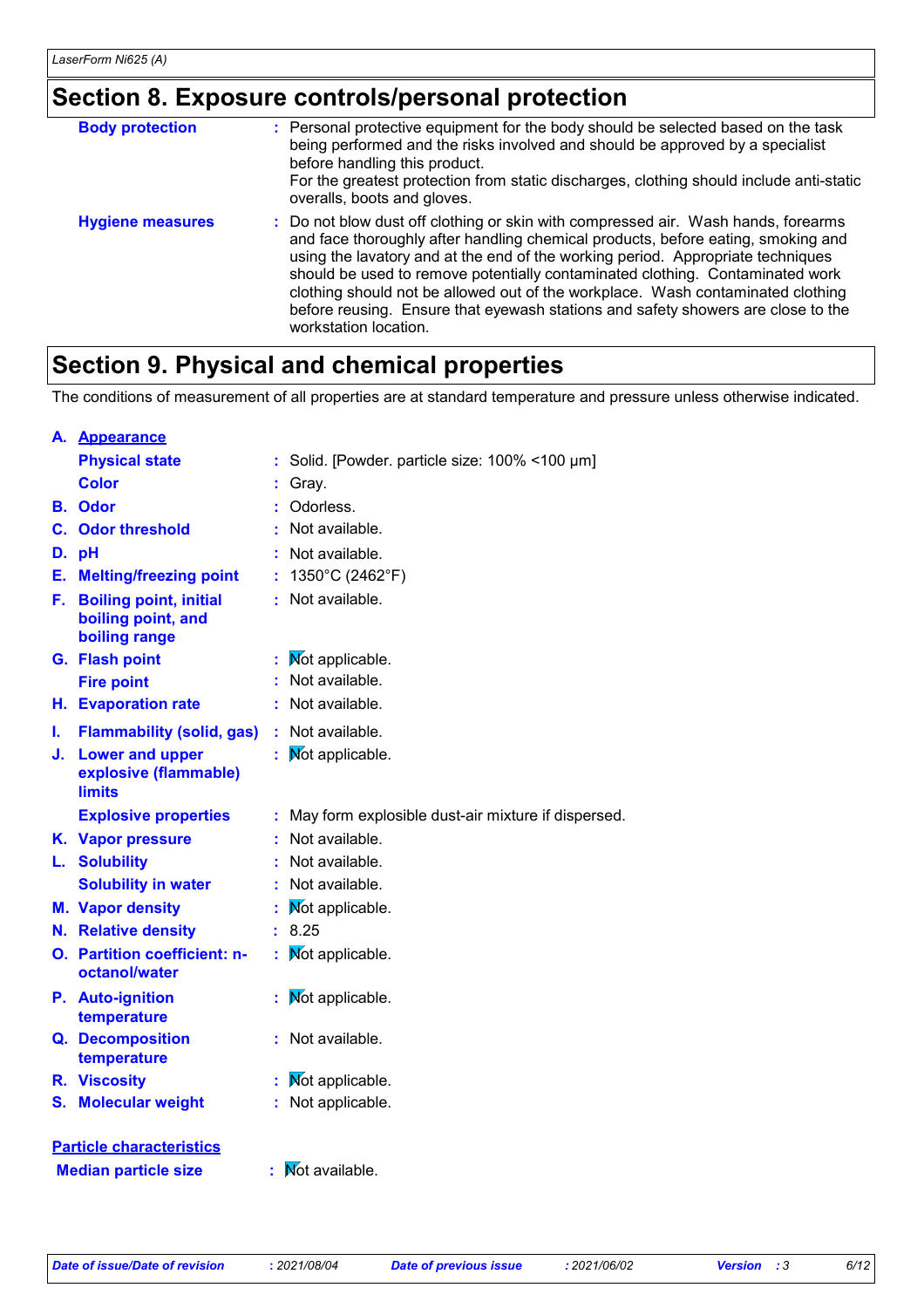# **Section 8. Exposure controls/personal protection**

| <b>Body protection</b>  | : Personal protective equipment for the body should be selected based on the task<br>being performed and the risks involved and should be approved by a specialist<br>before handling this product.<br>For the greatest protection from static discharges, clothing should include anti-static<br>overalls, boots and gloves.                                                                                                                                                                                                             |
|-------------------------|-------------------------------------------------------------------------------------------------------------------------------------------------------------------------------------------------------------------------------------------------------------------------------------------------------------------------------------------------------------------------------------------------------------------------------------------------------------------------------------------------------------------------------------------|
| <b>Hygiene measures</b> | : Do not blow dust off clothing or skin with compressed air. Wash hands, forearms<br>and face thoroughly after handling chemical products, before eating, smoking and<br>using the lavatory and at the end of the working period. Appropriate techniques<br>should be used to remove potentially contaminated clothing. Contaminated work<br>clothing should not be allowed out of the workplace. Wash contaminated clothing<br>before reusing. Ensure that eyewash stations and safety showers are close to the<br>workstation location. |

# **Section 9. Physical and chemical properties**

The conditions of measurement of all properties are at standard temperature and pressure unless otherwise indicated.

|    | A. Appearance                                                        |    |                                                        |
|----|----------------------------------------------------------------------|----|--------------------------------------------------------|
|    | <b>Physical state</b>                                                |    | : Solid. [Powder. particle size: $100\% < 100 \mu m$ ] |
|    | <b>Color</b>                                                         |    | : Gray.                                                |
|    | <b>B.</b> Odor                                                       |    | Odorless.                                              |
|    | <b>C.</b> Odor threshold                                             |    | $\cdot$ Not available.                                 |
|    | D. pH                                                                |    | Not available.                                         |
|    | E. Melting/freezing point                                            |    | : $1350^{\circ}$ C (2462 $^{\circ}$ F)                 |
| F. | <b>Boiling point, initial</b><br>boiling point, and<br>boiling range |    | : Not available.                                       |
|    | G. Flash point                                                       |    | Not applicable.                                        |
|    | <b>Fire point</b>                                                    |    | : Not available.                                       |
|    | <b>H.</b> Evaporation rate                                           |    | Not available.                                         |
| ı. | <b>Flammability (solid, gas)</b>                                     |    | : Not available.                                       |
| J. | <b>Lower and upper</b><br>explosive (flammable)<br><b>limits</b>     |    | Mot applicable.                                        |
|    | <b>Explosive properties</b>                                          |    | May form explosible dust-air mixture if dispersed.     |
|    | K. Vapor pressure                                                    |    | Not available.                                         |
|    | L. Solubility                                                        |    | : Not available.                                       |
|    | <b>Solubility in water</b>                                           |    | : Not available.                                       |
|    | <b>M. Vapor density</b>                                              |    | Mot applicable.                                        |
|    | <b>N.</b> Relative density                                           |    | : 8.25                                                 |
|    | O. Partition coefficient: n-<br>octanol/water                        |    | Mot applicable.                                        |
|    | P. Auto-ignition<br>temperature                                      | ÷. | Mot applicable.                                        |
|    | Q. Decomposition<br>temperature                                      |    | : Not available.                                       |
|    | R. Viscosity                                                         |    | Mot applicable.                                        |
|    | <b>S. Molecular weight</b>                                           | t. | Not applicable.                                        |
|    | <b>Particle characteristics</b>                                      |    |                                                        |
|    | <b>Median particle size</b>                                          |    | : Mot available.                                       |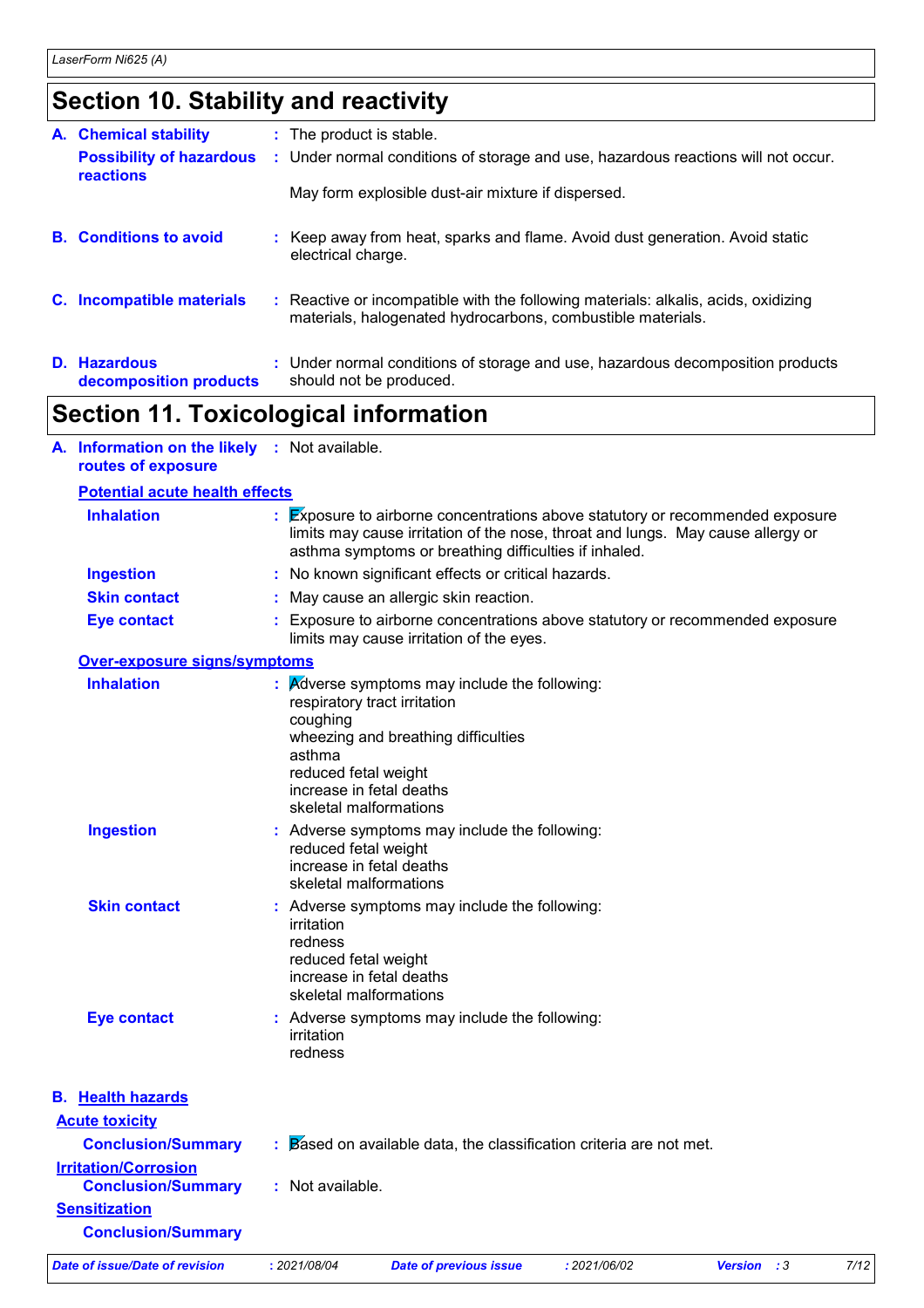# **Section 10. Stability and reactivity**

| A. Chemical stability                         | : The product is stable.                                                                                                                          |
|-----------------------------------------------|---------------------------------------------------------------------------------------------------------------------------------------------------|
| <b>Possibility of hazardous</b>               | : Under normal conditions of storage and use, hazardous reactions will not occur.                                                                 |
| <b>reactions</b>                              | May form explosible dust-air mixture if dispersed.                                                                                                |
| <b>B.</b> Conditions to avoid                 | : Keep away from heat, sparks and flame. Avoid dust generation. Avoid static<br>electrical charge.                                                |
| C. Incompatible materials                     | : Reactive or incompatible with the following materials: alkalis, acids, oxidizing<br>materials, halogenated hydrocarbons, combustible materials. |
| <b>D.</b> Hazardous<br>decomposition products | : Under normal conditions of storage and use, hazardous decomposition products<br>should not be produced.                                         |
|                                               |                                                                                                                                                   |

# **Section 11. Toxicological information**

| A. Information on the likely : Not available.<br>routes of exposure |                                                                                                     |                                                                                                                                                                                                                                    |              |             |      |
|---------------------------------------------------------------------|-----------------------------------------------------------------------------------------------------|------------------------------------------------------------------------------------------------------------------------------------------------------------------------------------------------------------------------------------|--------------|-------------|------|
| <b>Potential acute health effects</b>                               |                                                                                                     |                                                                                                                                                                                                                                    |              |             |      |
| <b>Inhalation</b>                                                   |                                                                                                     | $\mathbb E$ xposure to airborne concentrations above statutory or recommended exposure<br>limits may cause irritation of the nose, throat and lungs. May cause allergy or<br>asthma symptoms or breathing difficulties if inhaled. |              |             |      |
| <b>Ingestion</b>                                                    |                                                                                                     | : No known significant effects or critical hazards.                                                                                                                                                                                |              |             |      |
| <b>Skin contact</b>                                                 |                                                                                                     | : May cause an allergic skin reaction.                                                                                                                                                                                             |              |             |      |
| <b>Eye contact</b>                                                  |                                                                                                     | : Exposure to airborne concentrations above statutory or recommended exposure<br>limits may cause irritation of the eyes.                                                                                                          |              |             |      |
| <b>Over-exposure signs/symptoms</b>                                 |                                                                                                     |                                                                                                                                                                                                                                    |              |             |      |
| <b>Inhalation</b>                                                   | coughing<br>asthma<br>reduced fetal weight<br>increase in fetal deaths<br>skeletal malformations    | <b>Adverse symptoms may include the following:</b><br>respiratory tract irritation<br>wheezing and breathing difficulties                                                                                                          |              |             |      |
| <b>Ingestion</b>                                                    | reduced fetal weight<br>increase in fetal deaths<br>skeletal malformations                          | : Adverse symptoms may include the following:                                                                                                                                                                                      |              |             |      |
| <b>Skin contact</b>                                                 | irritation<br>redness<br>reduced fetal weight<br>increase in fetal deaths<br>skeletal malformations | : Adverse symptoms may include the following:                                                                                                                                                                                      |              |             |      |
| <b>Eye contact</b>                                                  | irritation<br>redness                                                                               | : Adverse symptoms may include the following:                                                                                                                                                                                      |              |             |      |
| <b>B.</b> Health hazards                                            |                                                                                                     |                                                                                                                                                                                                                                    |              |             |      |
| <b>Acute toxicity</b>                                               |                                                                                                     |                                                                                                                                                                                                                                    |              |             |      |
| <b>Conclusion/Summary</b>                                           |                                                                                                     | Based on available data, the classification criteria are not met.                                                                                                                                                                  |              |             |      |
| <b>Irritation/Corrosion</b>                                         |                                                                                                     |                                                                                                                                                                                                                                    |              |             |      |
| <b>Conclusion/Summary</b>                                           | : Not available.                                                                                    |                                                                                                                                                                                                                                    |              |             |      |
| <b>Sensitization</b>                                                |                                                                                                     |                                                                                                                                                                                                                                    |              |             |      |
| <b>Conclusion/Summary</b>                                           |                                                                                                     |                                                                                                                                                                                                                                    |              |             |      |
| <b>Date of issue/Date of revision</b>                               | : 2021/08/04                                                                                        | <b>Date of previous issue</b>                                                                                                                                                                                                      | : 2021/06/02 | Version : 3 | 7/12 |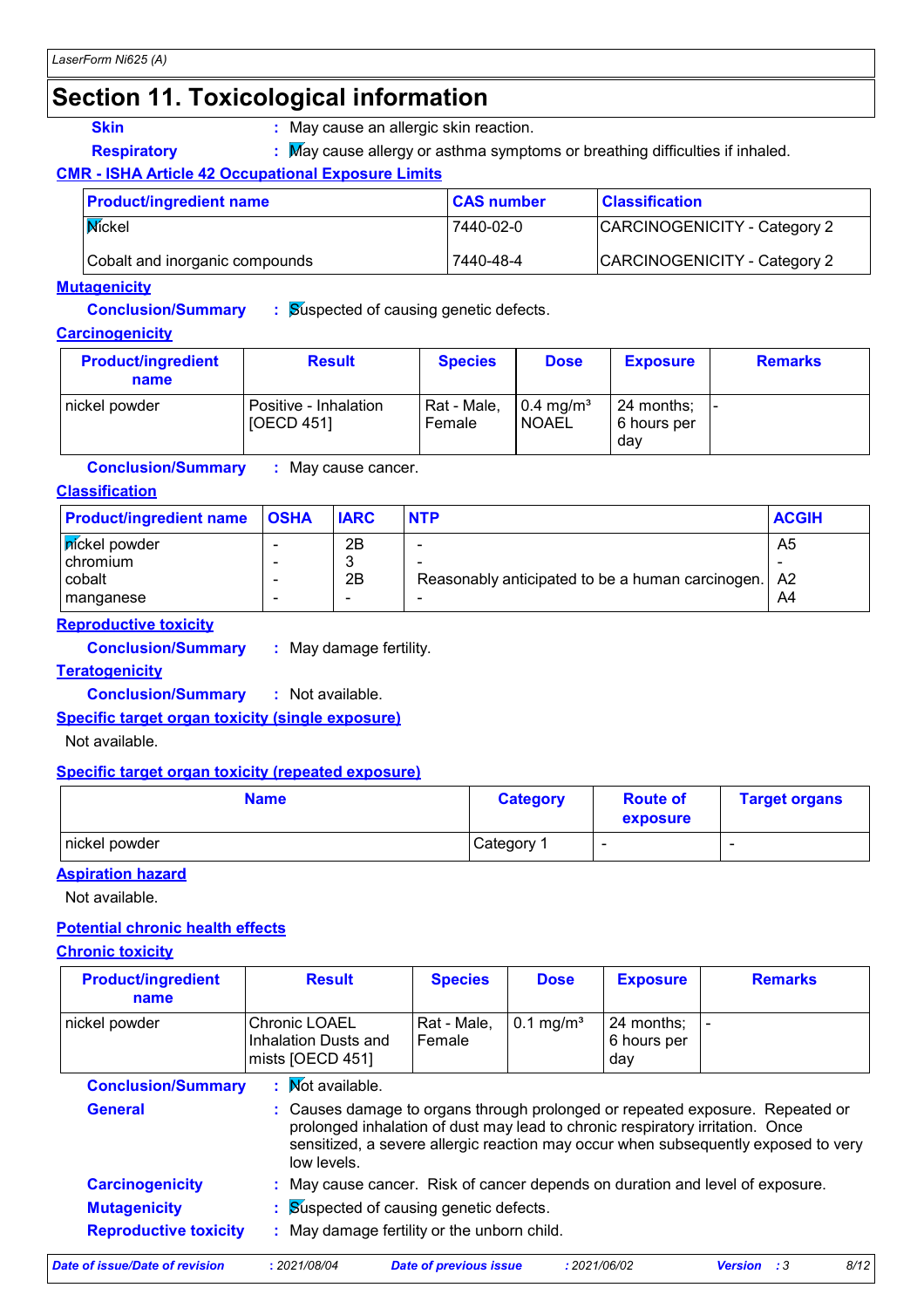# **Section 11. Toxicological information**

**Skin :** May cause an allergic skin reaction.

**Respiratory** : May cause allergy or asthma symptoms or breathing difficulties if inhaled.

#### **CMR - ISHA Article 42 Occupational Exposure Limits**

| <b>Product/ingredient name</b> | <b>CAS number</b> | <b>Classification</b>        |
|--------------------------------|-------------------|------------------------------|
| Mickel                         | 7440-02-0         | CARCINOGENICITY - Category 2 |
| Cobalt and inorganic compounds | 7440-48-4         | CARCINOGENICITY - Category 2 |

#### **Mutagenicity**

**Conclusion/Summary : Suspected of causing genetic defects.** 

#### **Carcinogenicity**

| <b>Product/ingredient</b><br>name | <b>Result</b>                              | <b>Species</b>        | <b>Dose</b>                                    | <b>Exposure</b>                  | <b>Remarks</b>           |
|-----------------------------------|--------------------------------------------|-----------------------|------------------------------------------------|----------------------------------|--------------------------|
| nickel powder                     | Positive - Inhalation<br><b>[OECD 451]</b> | Rat - Male,<br>Female | $\sqrt{0.4}$ mg/m <sup>3</sup><br><b>NOAEL</b> | 24 months;<br>6 hours per<br>dav | $\overline{\phantom{0}}$ |

**Conclusion/Summary :** May cause cancer.

#### **Classification**

| <b>Product/ingredient name</b> | <b>OSHA</b> | <b>IARC</b>              | <b>NTP</b>                                            | <b>ACGIH</b> |
|--------------------------------|-------------|--------------------------|-------------------------------------------------------|--------------|
| <i>n</i> íckel powder          | -           | 2B                       |                                                       | A5           |
| I chromium                     |             |                          |                                                       |              |
| cobalt                         |             | 2B                       | Reasonably anticipated to be a human carcinogen.   A2 |              |
| manganese                      | -           | $\overline{\phantom{0}}$ |                                                       | A4           |

#### **Reproductive toxicity**

**Conclusion/Summary :** May damage fertility.

#### **Teratogenicity**

**Conclusion/Summary :** Not available.

#### **Specific target organ toxicity (single exposure)**

Not available.

#### **Specific target organ toxicity (repeated exposure)**

| Name          | <b>Category</b> | <b>Route of</b><br>exposure | <b>Target organs</b>     |
|---------------|-----------------|-----------------------------|--------------------------|
| nickel powder | Category 1      |                             | $\overline{\phantom{0}}$ |

#### **Aspiration hazard**

Not available.

#### **Potential chronic health effects**

**Chronic toxicity**

| <b>Product/ingredient</b><br>name | <b>Result</b>                                                    | <b>Species</b>                                                                                                                                                                                                                                       | <b>Dose</b>             | <b>Exposure</b>                  | <b>Remarks</b>                                                                |  |  |
|-----------------------------------|------------------------------------------------------------------|------------------------------------------------------------------------------------------------------------------------------------------------------------------------------------------------------------------------------------------------------|-------------------------|----------------------------------|-------------------------------------------------------------------------------|--|--|
| nickel powder                     | <b>Chronic LOAEL</b><br>Inhalation Dusts and<br>mists [OECD 451] | Rat - Male,<br>Female                                                                                                                                                                                                                                | $0.1 \,\mathrm{mg/m^3}$ | 24 months:<br>6 hours per<br>day |                                                                               |  |  |
| <b>Conclusion/Summary</b>         | : Mot available.                                                 |                                                                                                                                                                                                                                                      |                         |                                  |                                                                               |  |  |
| <b>General</b>                    | low levels.                                                      | : Causes damage to organs through prolonged or repeated exposure. Repeated or<br>prolonged inhalation of dust may lead to chronic respiratory irritation. Once<br>sensitized, a severe allergic reaction may occur when subsequently exposed to very |                         |                                  |                                                                               |  |  |
| <b>Carcinogenicity</b>            |                                                                  |                                                                                                                                                                                                                                                      |                         |                                  | : May cause cancer. Risk of cancer depends on duration and level of exposure. |  |  |
| <b>Mutagenicity</b>               |                                                                  | : Suspected of causing genetic defects.                                                                                                                                                                                                              |                         |                                  |                                                                               |  |  |
| <b>Reproductive toxicity</b>      |                                                                  | : May damage fertility or the unborn child.                                                                                                                                                                                                          |                         |                                  |                                                                               |  |  |
| Date of issue/Date of revision    | : 2021/08/04                                                     | <b>Date of previous issue</b>                                                                                                                                                                                                                        |                         | : 2021/06/02                     | 8/12<br><b>Version</b><br>:3                                                  |  |  |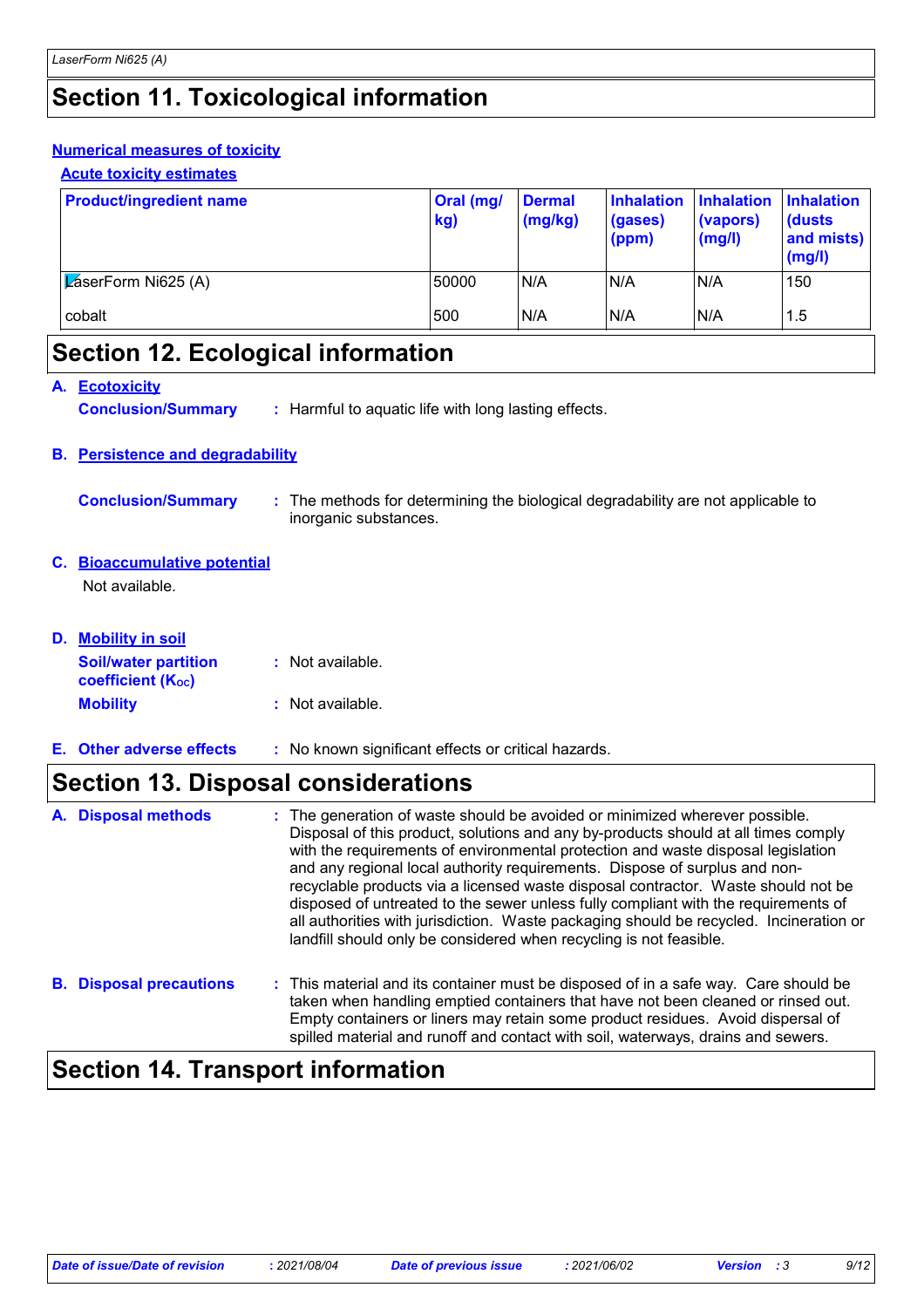# **Section 11. Toxicological information**

#### **Numerical measures of toxicity**

| <b>Acute toxicity estimates</b>        |                  |                          |                                       |                                         |                                                      |  |  |  |
|----------------------------------------|------------------|--------------------------|---------------------------------------|-----------------------------------------|------------------------------------------------------|--|--|--|
| <b>Product/ingredient name</b>         | Oral (mg/<br>kg) | <b>Dermal</b><br>(mg/kg) | <b>Inhalation</b><br>(gases)<br>(ppm) | <b>Inhalation</b><br>(vapors)<br>(mg/l) | <b>Inhalation</b><br>(dusts)<br>and mists)<br>(mg/l) |  |  |  |
| $\sqrt{\mathsf{Z}}$ aserForm Ni625 (A) | 50000            | N/A                      | N/A                                   | N/A                                     | 150                                                  |  |  |  |
| cobalt                                 | 500              | N/A                      | N/A                                   | N/A                                     | 1.5                                                  |  |  |  |

# **Section 12. Ecological information**

#### **A. Ecotoxicity**

**Conclusion/Summary :** Harmful to aquatic life with long lasting effects.

#### **Persistence and degradability B.**

- **Conclusion/Summary :** The methods for determining the biological degradability are not applicable to inorganic substances.
- **Bioaccumulative potential C.**

Not available.

| <b>D.</b> Mobility in soil                              |                  |  |  |  |  |  |  |  |  |  |
|---------------------------------------------------------|------------------|--|--|--|--|--|--|--|--|--|
| <b>Soil/water partition</b><br><b>coefficient (Koc)</b> | : Not available. |  |  |  |  |  |  |  |  |  |
| <b>Mobility</b>                                         | : Not available. |  |  |  |  |  |  |  |  |  |

**Other adverse effects :** No known significant effects or critical hazards. **E.**

## **Section 13. Disposal considerations**

| <b>Disposal methods</b>     | : The generation of waste should be avoided or minimized wherever possible.<br>Disposal of this product, solutions and any by-products should at all times comply<br>with the requirements of environmental protection and waste disposal legislation<br>and any regional local authority requirements. Dispose of surplus and non-<br>recyclable products via a licensed waste disposal contractor. Waste should not be<br>disposed of untreated to the sewer unless fully compliant with the requirements of<br>all authorities with jurisdiction. Waste packaging should be recycled. Incineration or<br>landfill should only be considered when recycling is not feasible. |
|-----------------------------|--------------------------------------------------------------------------------------------------------------------------------------------------------------------------------------------------------------------------------------------------------------------------------------------------------------------------------------------------------------------------------------------------------------------------------------------------------------------------------------------------------------------------------------------------------------------------------------------------------------------------------------------------------------------------------|
| <b>Disposal precautions</b> | : This material and its container must be disposed of in a safe way. Care should be<br>taken when handling emptied containers that have not been cleaned or rinsed out.<br>Empty containers or liners may retain some product residues. Avoid dispersal of<br>spilled material and runoff and contact with soil, waterways, drains and sewers.                                                                                                                                                                                                                                                                                                                                 |

# **Section 14. Transport information**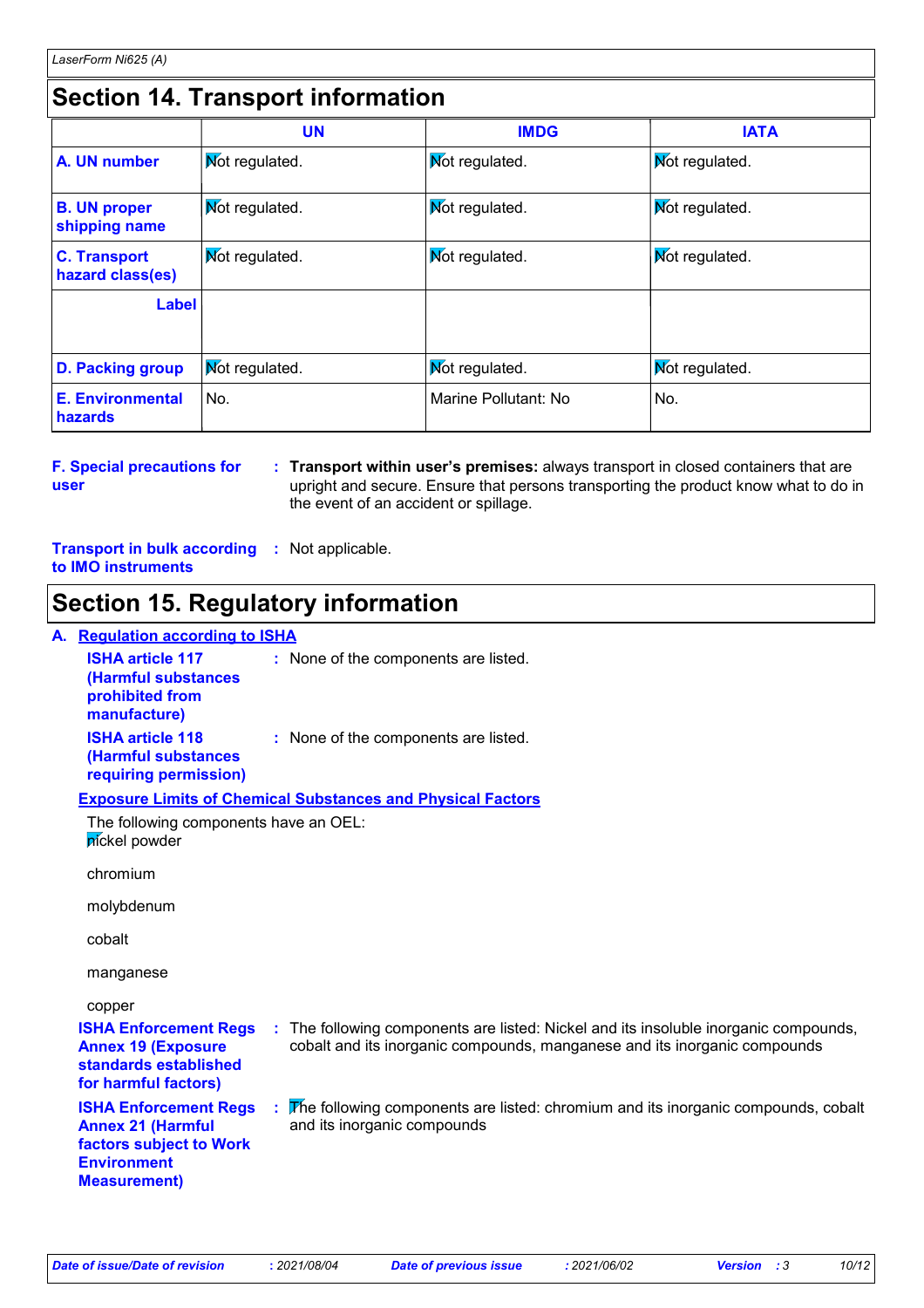# **Section 14. Transport information**

|                                         | <b>UN</b>             | <b>IMDG</b>          | <b>IATA</b>           |
|-----------------------------------------|-----------------------|----------------------|-----------------------|
| A. UN number                            | Mot regulated.        | Mot regulated.       | <b>Not regulated.</b> |
| <b>B. UN proper</b><br>shipping name    | <b>Not regulated.</b> | Mot regulated.       | <b>Not regulated.</b> |
| <b>C. Transport</b><br>hazard class(es) | <b>Not regulated.</b> | Mot regulated.       | <b>Not regulated.</b> |
| Label                                   |                       |                      |                       |
| <b>D. Packing group</b>                 | <b>Mot regulated.</b> | Mot regulated.       | <b>Not regulated.</b> |
| <b>E. Environmental</b><br>hazards      | No.                   | Marine Pollutant: No | No.                   |

#### **F. Special precautions for user**

**Transport within user's premises:** always transport in closed containers that are **:** upright and secure. Ensure that persons transporting the product know what to do in the event of an accident or spillage.

**Transport in bulk according :** Not applicable. **to IMO instruments**

# **Section 15. Regulatory information**

| A. Regulation according to ISHA                                                                                                  |                                                                                                                                                                   |  |  |  |
|----------------------------------------------------------------------------------------------------------------------------------|-------------------------------------------------------------------------------------------------------------------------------------------------------------------|--|--|--|
| <b>ISHA article 117</b><br>(Harmful substances<br>prohibited from<br>manufacture)                                                | : None of the components are listed.                                                                                                                              |  |  |  |
| <b>ISHA article 118</b><br>(Harmful substances<br>requiring permission)                                                          | : None of the components are listed.                                                                                                                              |  |  |  |
|                                                                                                                                  | <b>Exposure Limits of Chemical Substances and Physical Factors</b>                                                                                                |  |  |  |
| The following components have an OEL:<br>níckel powder                                                                           |                                                                                                                                                                   |  |  |  |
| chromium                                                                                                                         |                                                                                                                                                                   |  |  |  |
| molybdenum                                                                                                                       |                                                                                                                                                                   |  |  |  |
| cobalt                                                                                                                           |                                                                                                                                                                   |  |  |  |
| manganese                                                                                                                        |                                                                                                                                                                   |  |  |  |
| copper                                                                                                                           |                                                                                                                                                                   |  |  |  |
| <b>ISHA Enforcement Regs</b><br><b>Annex 19 (Exposure</b><br>standards established<br>for harmful factors)                       | : The following components are listed: Nickel and its insoluble inorganic compounds,<br>cobalt and its inorganic compounds, manganese and its inorganic compounds |  |  |  |
| <b>ISHA Enforcement Regs</b><br><b>Annex 21 (Harmful</b><br>factors subject to Work<br><b>Environment</b><br><b>Measurement)</b> | The following components are listed: chromium and its inorganic compounds, cobalt<br>and its inorganic compounds                                                  |  |  |  |
|                                                                                                                                  |                                                                                                                                                                   |  |  |  |

*Date of issue/Date of revision* **:** *2021/08/04 Date of previous issue : 2021/06/02 Version : 3 10/12*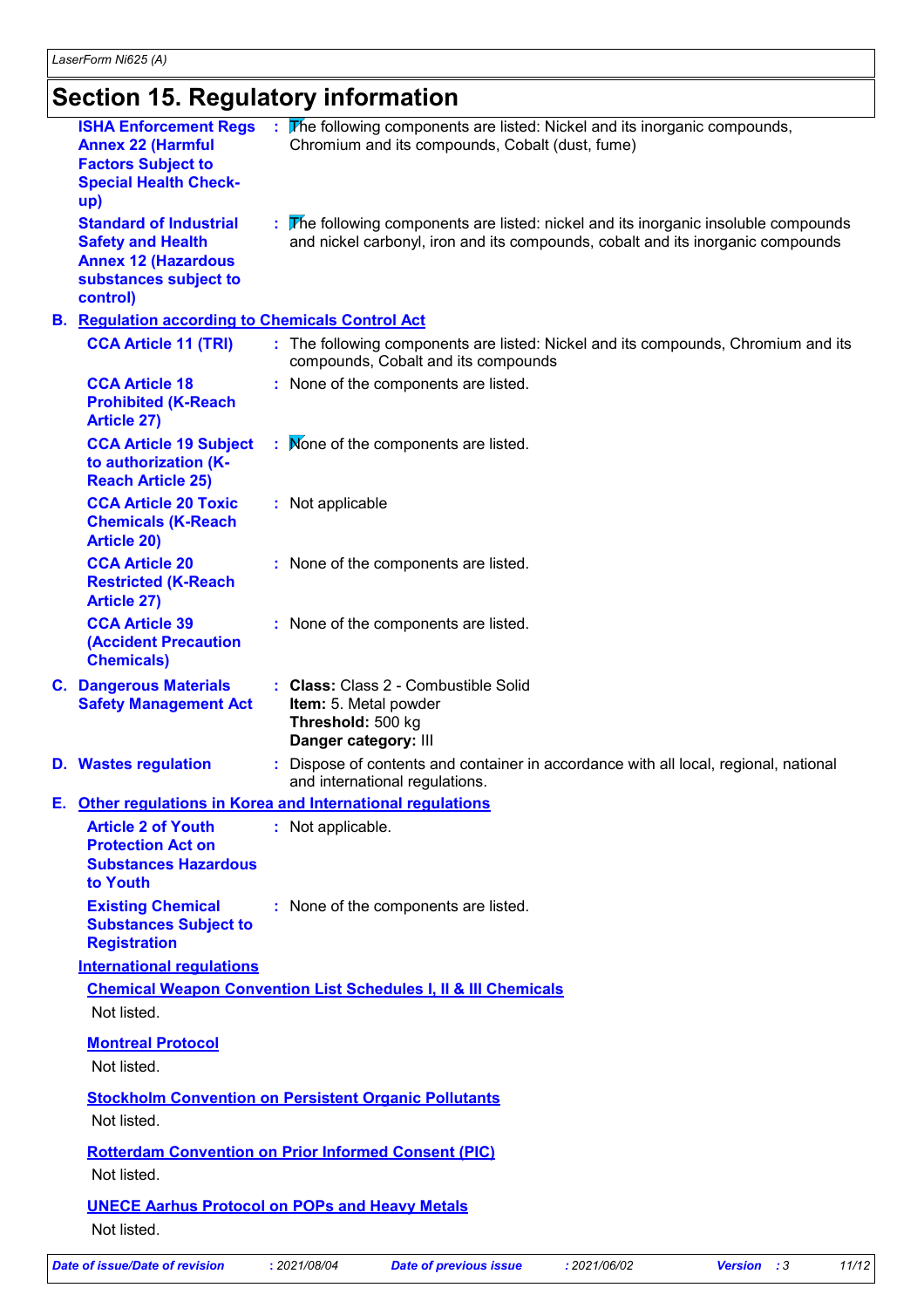# **Section 15. Regulatory information**

|                                                                                           | <b>ISHA Enforcement Regs</b><br><b>Annex 22 (Harmful</b><br><b>Factors Subject to</b><br><b>Special Health Check-</b><br>up) |  | $\triangledown$ The following components are listed: Nickel and its inorganic compounds,<br>Chromium and its compounds, Cobalt (dust, fume)                                     |  |
|-------------------------------------------------------------------------------------------|------------------------------------------------------------------------------------------------------------------------------|--|---------------------------------------------------------------------------------------------------------------------------------------------------------------------------------|--|
|                                                                                           | <b>Standard of Industrial</b><br><b>Safety and Health</b><br><b>Annex 12 (Hazardous</b><br>substances subject to<br>control) |  | $\mathbb F$ he following components are listed: nickel and its inorganic insoluble compounds<br>and nickel carbonyl, iron and its compounds, cobalt and its inorganic compounds |  |
| <b>B. Requiation according to Chemicals Control Act</b>                                   |                                                                                                                              |  |                                                                                                                                                                                 |  |
|                                                                                           | <b>CCA Article 11 (TRI)</b>                                                                                                  |  | : The following components are listed: Nickel and its compounds, Chromium and its<br>compounds, Cobalt and its compounds                                                        |  |
|                                                                                           | <b>CCA Article 18</b><br><b>Prohibited (K-Reach</b><br><b>Article 27)</b>                                                    |  | : None of the components are listed.                                                                                                                                            |  |
|                                                                                           | <b>CCA Article 19 Subject</b><br>to authorization (K-<br><b>Reach Article 25)</b>                                            |  | None of the components are listed.                                                                                                                                              |  |
|                                                                                           | <b>CCA Article 20 Toxic</b><br><b>Chemicals (K-Reach</b><br><b>Article 20)</b>                                               |  | : Not applicable                                                                                                                                                                |  |
|                                                                                           | <b>CCA Article 20</b><br><b>Restricted (K-Reach</b><br><b>Article 27)</b>                                                    |  | : None of the components are listed.                                                                                                                                            |  |
|                                                                                           | <b>CCA Article 39</b><br><b>(Accident Precaution</b><br><b>Chemicals)</b>                                                    |  | : None of the components are listed.                                                                                                                                            |  |
|                                                                                           | <b>C. Dangerous Materials</b><br><b>Safety Management Act</b>                                                                |  | : Class: Class 2 - Combustible Solid<br>Item: 5. Metal powder<br>Threshold: 500 kg<br>Danger category: III                                                                      |  |
|                                                                                           | <b>D.</b> Wastes regulation                                                                                                  |  | : Dispose of contents and container in accordance with all local, regional, national<br>and international regulations.                                                          |  |
|                                                                                           |                                                                                                                              |  | E. Other regulations in Korea and International regulations                                                                                                                     |  |
|                                                                                           | <b>Article 2 of Youth</b><br><b>Protection Act on</b><br><b>Substances Hazardous</b><br>to Youth                             |  | : Not applicable.                                                                                                                                                               |  |
|                                                                                           | <b>Existing Chemical</b><br><b>Substances Subject to</b><br><b>Registration</b>                                              |  | : None of the components are listed.                                                                                                                                            |  |
|                                                                                           | <b>International regulations</b>                                                                                             |  |                                                                                                                                                                                 |  |
| <b>Chemical Weapon Convention List Schedules I, II &amp; III Chemicals</b><br>Not listed. |                                                                                                                              |  |                                                                                                                                                                                 |  |
|                                                                                           | <b>Montreal Protocol</b><br>Not listed.                                                                                      |  |                                                                                                                                                                                 |  |
|                                                                                           | Not listed.                                                                                                                  |  | <b>Stockholm Convention on Persistent Organic Pollutants</b>                                                                                                                    |  |
| <b>Rotterdam Convention on Prior Informed Consent (PIC)</b>                               |                                                                                                                              |  |                                                                                                                                                                                 |  |
| Not listed.                                                                               |                                                                                                                              |  |                                                                                                                                                                                 |  |
|                                                                                           | Not listed.                                                                                                                  |  | <b>UNECE Aarhus Protocol on POPs and Heavy Metals</b>                                                                                                                           |  |